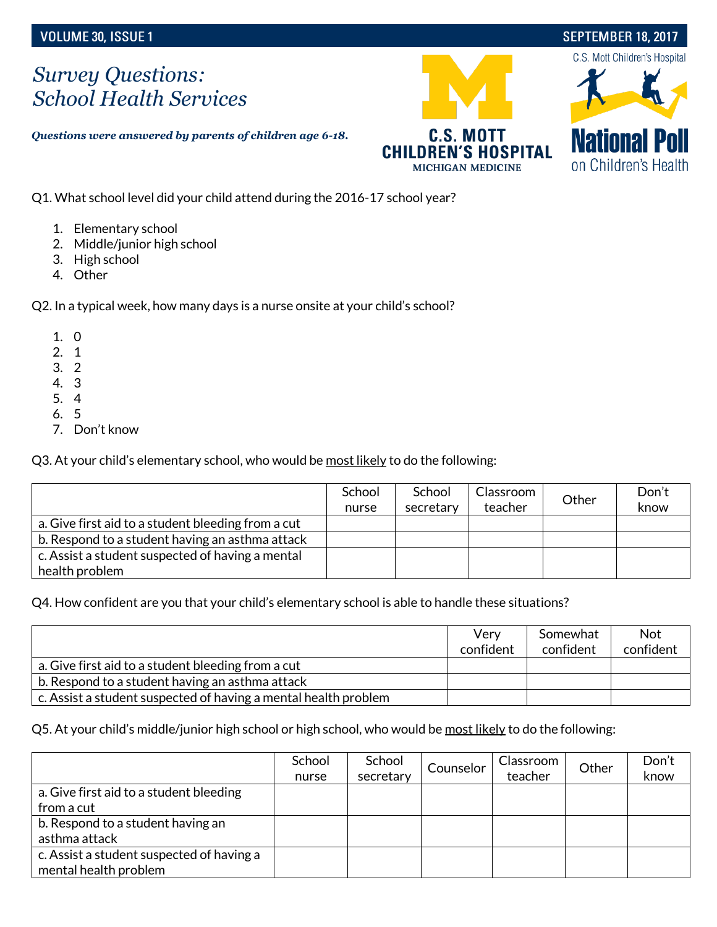## **SEPTEMBER 18, 2017**

## *Survey Questions: School Health Services*

*Questions were answered by parents of children age 6-18.*





Q1. What school level did your child attend during the 2016-17 school year?

- 1. Elementary school
- 2. Middle/junior high school
- 3. High school
- 4. Other

Q2. In a typical week, how many days is a nurse onsite at your child's school?

- 1. 0
- 2. 1
- 3. 2
- 4. 3
- 5. 4
- 6. 5
- 7. Don't know

Q3. At your child's elementary school, who would be most likely to do the following:

|                                                    | School | School    | Classroom | Other | Don't |
|----------------------------------------------------|--------|-----------|-----------|-------|-------|
|                                                    | nurse  | secretary | teacher   |       | know  |
| a. Give first aid to a student bleeding from a cut |        |           |           |       |       |
| b. Respond to a student having an asthma attack    |        |           |           |       |       |
| c. Assist a student suspected of having a mental   |        |           |           |       |       |
| health problem                                     |        |           |           |       |       |

Q4. How confident are you that your child's elementary school is able to handle these situations?

|                                                                 | Very<br>confident | Somewhat<br>confident | <b>Not</b><br>confident |
|-----------------------------------------------------------------|-------------------|-----------------------|-------------------------|
| a. Give first aid to a student bleeding from a cut              |                   |                       |                         |
| b. Respond to a student having an asthma attack                 |                   |                       |                         |
| c. Assist a student suspected of having a mental health problem |                   |                       |                         |

Q5. At your child's middle/junior high school or high school, who would be most likely to do the following:

|                                           | School<br>nurse | School<br>secretary | Counselor | Classroom<br>teacher | Other | Don't<br>know |
|-------------------------------------------|-----------------|---------------------|-----------|----------------------|-------|---------------|
| a. Give first aid to a student bleeding   |                 |                     |           |                      |       |               |
| from a cut                                |                 |                     |           |                      |       |               |
| b. Respond to a student having an         |                 |                     |           |                      |       |               |
| asthma attack                             |                 |                     |           |                      |       |               |
| c. Assist a student suspected of having a |                 |                     |           |                      |       |               |
| mental health problem                     |                 |                     |           |                      |       |               |